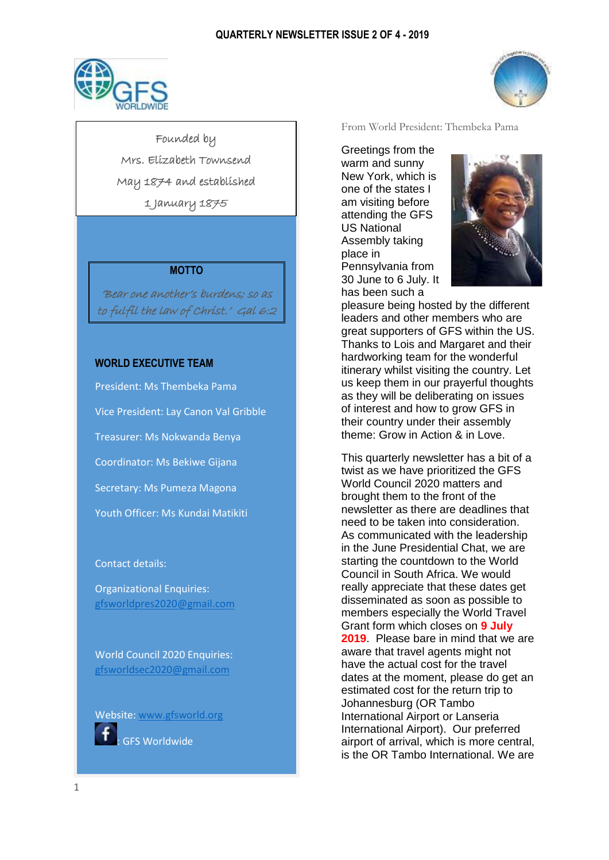

Founded by Mrs. Elizabeth Townsend May 1874 and established 1 January 1875

## **MOTTO**

'Bear one another's burdens; so as to fulfil the law of Christ.' Gal 6:2

## **WORLD EXECUTIVE TEAM**

President: Ms Thembeka Pama Vice President: Lay Canon Val Gribble Treasurer: Ms Nokwanda Benya Coordinator: Ms Bekiwe Gijana Secretary: Ms Pumeza Magona Youth Officer: Ms Kundai Matikiti

#### Contact details:

Organizational Enquiries: [gfsworldpres2020@gmail.com](mailto:gfsworldpres2020@gmail.com)

World Council 2020 Enquiries: [gfsworldsec2020@gmail.com](mailto:gfsworldsec2020@gmail.com)

Website[: www.gfsworld.org](http://www.gfsworld.org/)



From World President: Thembeka Pama

Greetings from the warm and sunny New York, which is one of the states I am visiting before attending the GFS US National Assembly taking place in Pennsylvania from 30 June to 6 July. It has been such a



pleasure being hosted by the different leaders and other members who are great supporters of GFS within the US. Thanks to Lois and Margaret and their hardworking team for the wonderful itinerary whilst visiting the country. Let us keep them in our prayerful thoughts as they will be deliberating on issues of interest and how to grow GFS in their country under their assembly theme: Grow in Action & in Love.

This quarterly newsletter has a bit of a twist as we have prioritized the GFS World Council 2020 matters and brought them to the front of the newsletter as there are deadlines that need to be taken into consideration. As communicated with the leadership in the June Presidential Chat, we are starting the countdown to the World Council in South Africa. We would really appreciate that these dates get disseminated as soon as possible to members especially the World Travel Grant form which closes on **9 July 2019**. Please bare in mind that we are aware that travel agents might not have the actual cost for the travel dates at the moment, please do get an estimated cost for the return trip to Johannesburg (OR Tambo International Airport or Lanseria International Airport). Our preferred airport of arrival, which is more central, is the OR Tambo International. We are

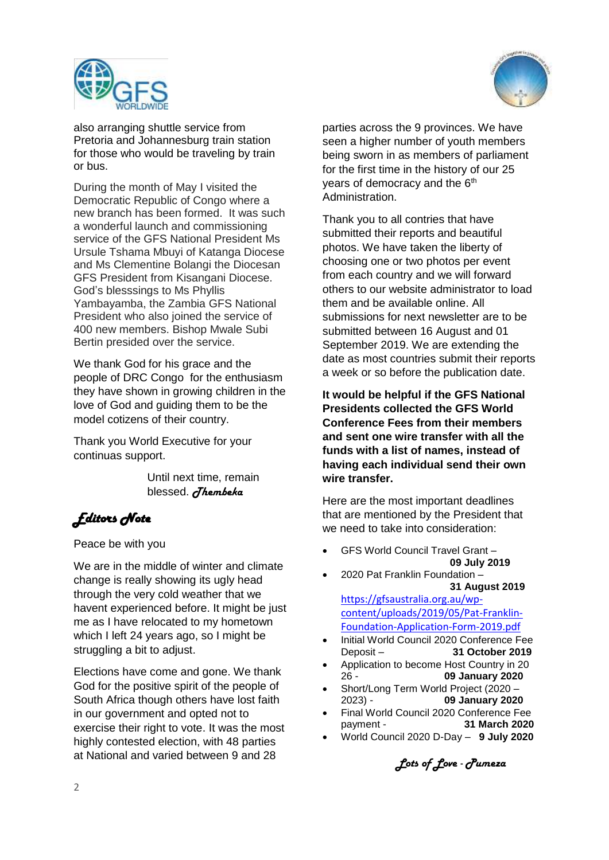



also arranging shuttle service from Pretoria and Johannesburg train station for those who would be traveling by train or bus.

During the month of May I visited the Democratic Republic of Congo where a new branch has been formed. It was such a wonderful launch and commissioning service of the GFS National President Ms Ursule Tshama Mbuyi of Katanga Diocese and Ms Clementine Bolangi the Diocesan GFS President from Kisangani Diocese. God's blesssings to Ms Phyllis Yambayamba, the Zambia GFS National President who also joined the service of 400 new members. Bishop Mwale Subi Bertin presided over the service.

We thank God for his grace and the people of DRC Congo for the enthusiasm they have shown in growing children in the love of God and guiding them to be the model cotizens of their country.

Thank you World Executive for your continuas support.

> Until next time, remain blessed. *Thembeka*

# *Editors Note*

## Peace be with you

We are in the middle of winter and climate change is really showing its ugly head through the very cold weather that we havent experienced before. It might be just me as I have relocated to my hometown which I left 24 years ago, so I might be struggling a bit to adjust.

Elections have come and gone. We thank God for the positive spirit of the people of South Africa though others have lost faith in our government and opted not to exercise their right to vote. It was the most highly contested election, with 48 parties at National and varied between 9 and 28

parties across the 9 provinces. We have seen a higher number of youth members being sworn in as members of parliament for the first time in the history of our 25 vears of democracy and the  $6<sup>th</sup>$ Administration.

Thank you to all contries that have submitted their reports and beautiful photos. We have taken the liberty of choosing one or two photos per event from each country and we will forward others to our website administrator to load them and be available online. All submissions for next newsletter are to be submitted between 16 August and 01 September 2019. We are extending the date as most countries submit their reports a week or so before the publication date.

**It would be helpful if the GFS National Presidents collected the GFS World Conference Fees from their members and sent one wire transfer with all the funds with a list of names, instead of having each individual send their own wire transfer.**

Here are the most important deadlines that are mentioned by the President that we need to take into consideration:

- GFS World Council Travel Grant **09 July 2019**
- 2020 Pat Franklin Foundation  **31 August 2019**

[https://gfsaustralia.org.au/wp](https://gfsaustralia.org.au/wp-content/uploads/2019/05/Pat-Franklin-Foundation-Application-Form-2019.pdf)[content/uploads/2019/05/Pat-Franklin-](https://gfsaustralia.org.au/wp-content/uploads/2019/05/Pat-Franklin-Foundation-Application-Form-2019.pdf)[Foundation-Application-Form-2019.pdf](https://gfsaustralia.org.au/wp-content/uploads/2019/05/Pat-Franklin-Foundation-Application-Form-2019.pdf)

- Initial World Council 2020 Conference Fee Deposit – **31 October 2019**
- Application to become Host Country in 20 26 - **09 January 2020**
- Short/Long Term World Project (2020 2023) - **09 January 2020**
- Final World Council 2020 Conference Fee payment - **31 March 2020**
- World Council 2020 D-Day **9 July 2020**

*Lots of Love - Pumeza*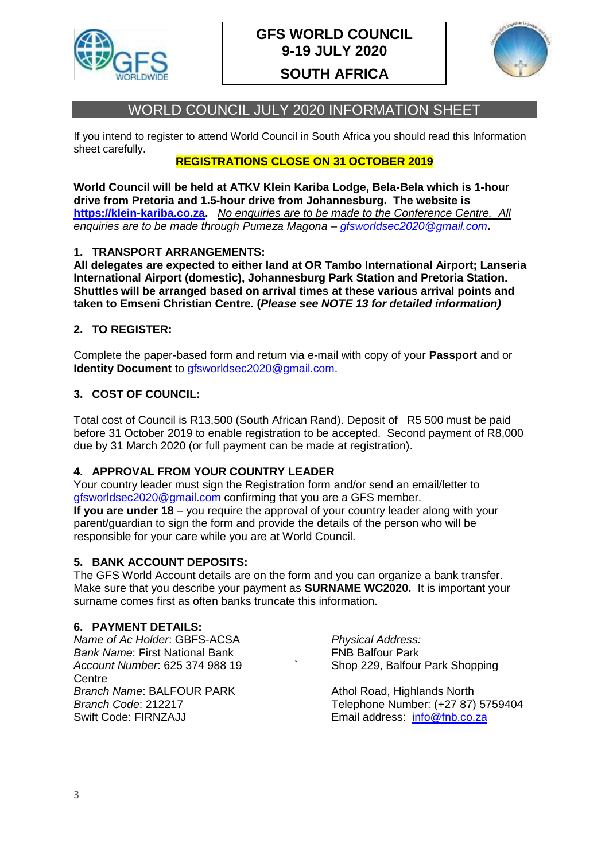

# **GFS WORLD COUNCIL 9-19 JULY 2020**

# **SOUTH AFRICA**



# WORLD COUNCIL JULY 2020 INFORMATION SHEET

If you intend to register to attend World Council in South Africa you should read this Information sheet carefully.

# **REGISTRATIONS CLOSE ON 31 OCTOBER 2019**

**World Council will be held at ATKV Klein Kariba Lodge, Bela-Bela which is 1-hour drive from Pretoria and 1.5-hour drive from Johannesburg. The website is [https://klein-kariba.co.za.](https://klein-kariba.co.za/)** *No enquiries are to be made to the Conference Centre. All enquiries are to be made through Pumeza Magona – [gfsworldsec2020@gmail.com](mailto:gfsworldsec2020@gmail.com)***.** 

# **1. TRANSPORT ARRANGEMENTS:**

**All delegates are expected to either land at OR Tambo International Airport; Lanseria International Airport (domestic), Johannesburg Park Station and Pretoria Station. Shuttles will be arranged based on arrival times at these various arrival points and taken to Emseni Christian Centre. (***Please see NOTE 13 for detailed information)*

# **2. TO REGISTER:**

Complete the paper-based form and return via e-mail with copy of your **Passport** and or **Identity Document** to [gfsworldsec2020@gmail.com.](mailto:gfsworldsec2020@gmail.com)

# **3. COST OF COUNCIL:**

Total cost of Council is R13,500 (South African Rand). Deposit of R5 500 must be paid before 31 October 2019 to enable registration to be accepted. Second payment of R8,000 due by 31 March 2020 (or full payment can be made at registration).

# **4. APPROVAL FROM YOUR COUNTRY LEADER**

Your country leader must sign the Registration form and/or send an email/letter to [gfsworldsec2020@gmail.com](mailto:gfsworldsec2020@gmail.com) confirming that you are a GFS member.

**If you are under 18** – you require the approval of your country leader along with your parent/guardian to sign the form and provide the details of the person who will be responsible for your care while you are at World Council.

## **5. BANK ACCOUNT DEPOSITS:**

The GFS World Account details are on the form and you can organize a bank transfer. Make sure that you describe your payment as **SURNAME WC2020.** It is important your surname comes first as often banks truncate this information.

## **6. PAYMENT DETAILS:**

*Name of Ac Holder*: GBFS-ACSA *Physical Address:* **Bank Name: First National Bank FNB Balfour Park** *Account Number*: 625 374 988 19 ` Shop 229, Balfour Park Shopping Centre **Branch Name: BALFOUR PARK Athol Road, Highlands North Athol Road, Highlands North** Swift Code: FIRNZAJJ Email address: [info@fnb.co.za](mailto:info@fnb.co.za)

*Branch Code*: 212217 Telephone Number: (+27 87) 5759404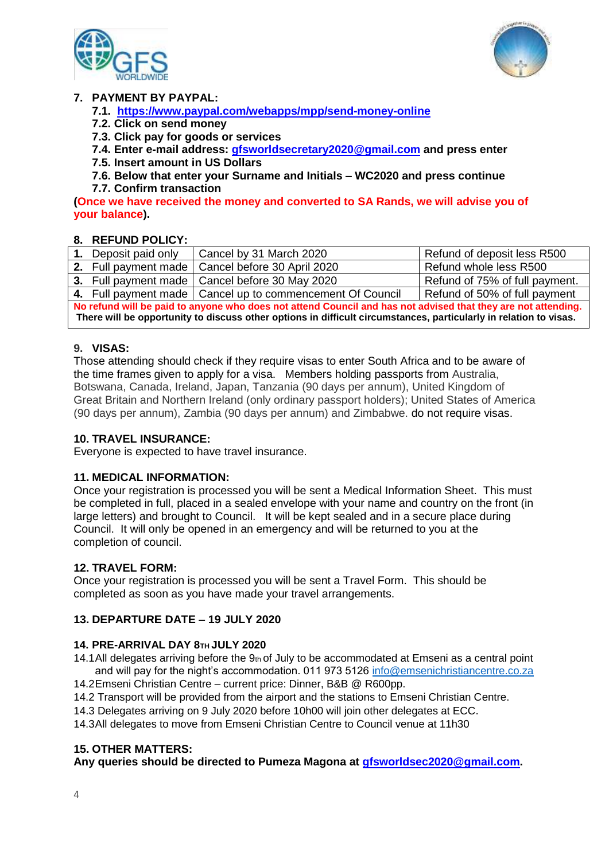



# **7. PAYMENT BY PAYPAL:**

- **7.1. <https://www.paypal.com/webapps/mpp/send-money-online>**
- **7.2. Click on send money**
- **7.3. Click pay for goods or services**
- **7.4. Enter e-mail address: [gfsworldsecretary2020@gmail.com](mailto:gfsworldsecretary2020@gmail.com) and press enter**
- **7.5. Insert amount in US Dollars**
- **7.6. Below that enter your Surname and Initials – WC2020 and press continue**
- **7.7. Confirm transaction**

**(Once we have received the money and converted to SA Rands, we will advise you of your balance).** 

# **8. REFUND POLICY:**

|                                                                                                                   | 1. Deposit paid only | Cancel by 31 March 2020                                     | Refund of deposit less R500    |
|-------------------------------------------------------------------------------------------------------------------|----------------------|-------------------------------------------------------------|--------------------------------|
|                                                                                                                   |                      | 2. Full payment made   Cancel before 30 April 2020          | Refund whole less R500         |
|                                                                                                                   |                      | 3. Full payment made   Cancel before 30 May 2020            | Refund of 75% of full payment. |
|                                                                                                                   |                      | 4. Full payment made   Cancel up to commencement Of Council | Refund of 50% of full payment  |
| No refund will be paid to anyone who does not attend Council and has not advised that they are not attending.     |                      |                                                             |                                |
| There will be opportunity to discuss other options in difficult circumstances, particularly in relation to visas. |                      |                                                             |                                |

# **9. VISAS:**

Those attending should check if they require visas to enter South Africa and to be aware of the time frames given to apply for a visa. Members holding passports from Australia, Botswana, Canada, Ireland, Japan, Tanzania (90 days per annum), United Kingdom of Great Britain and Northern Ireland (only ordinary passport holders); United States of America (90 days per annum), Zambia (90 days per annum) and Zimbabwe. do not require visas.

## **10. TRAVEL INSURANCE:**

Everyone is expected to have travel insurance.

## **11. MEDICAL INFORMATION:**

Once your registration is processed you will be sent a Medical Information Sheet. This must be completed in full, placed in a sealed envelope with your name and country on the front (in large letters) and brought to Council. It will be kept sealed and in a secure place during Council. It will only be opened in an emergency and will be returned to you at the completion of council.

## **12. TRAVEL FORM:**

Once your registration is processed you will be sent a Travel Form. This should be completed as soon as you have made your travel arrangements.

## **13. DEPARTURE DATE – 19 JULY 2020**

## **14. PRE-ARRIVAL DAY 8TH JULY 2020**

- 14.1All delegates arriving before the  $9<sub>th</sub>$  of July to be accommodated at Emseni as a central point and will pay for the night's accommodation. 011 973 5126 [info@emsenichristiancentre.co.za](mailto:info@emsenichristiancentre.co.za)
- 14.2Emseni Christian Centre current price: Dinner, B&B @ R600pp.
- 14.2 Transport will be provided from the airport and the stations to Emseni Christian Centre.
- 14.3 Delegates arriving on 9 July 2020 before 10h00 will join other delegates at ECC.

14.3All delegates to move from Emseni Christian Centre to Council venue at 11h30

## **15. OTHER MATTERS:**

**Any queries should be directed to Pumeza Magona at [gfsworldsec2020@gmail.com.](mailto:gfsworldsec2020@gmail.com)**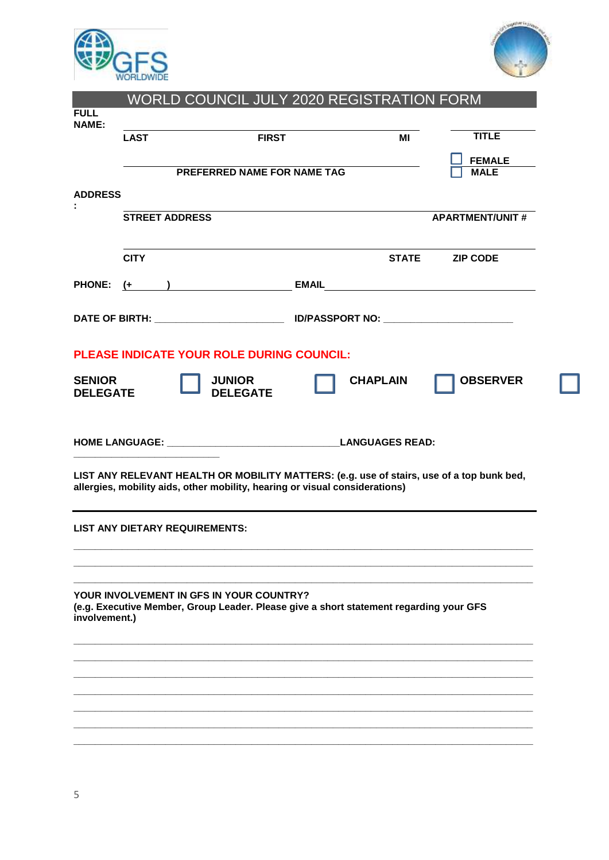



|                 | <b>LAST</b>           |                                                                                                                                    | <b>FIRST</b>                | MI              | <b>TITLE</b>                                                                              |
|-----------------|-----------------------|------------------------------------------------------------------------------------------------------------------------------------|-----------------------------|-----------------|-------------------------------------------------------------------------------------------|
|                 |                       |                                                                                                                                    |                             |                 | <b>FEMALE</b>                                                                             |
|                 |                       |                                                                                                                                    | PREFERRED NAME FOR NAME TAG |                 | <b>MALE</b>                                                                               |
| <b>ADDRESS</b>  |                       |                                                                                                                                    |                             |                 |                                                                                           |
|                 | <b>STREET ADDRESS</b> |                                                                                                                                    |                             |                 | <b>APARTMENT/UNIT #</b>                                                                   |
|                 |                       |                                                                                                                                    |                             |                 |                                                                                           |
|                 | <b>CITY</b>           |                                                                                                                                    |                             | <b>STATE</b>    | <b>ZIP CODE</b>                                                                           |
|                 |                       |                                                                                                                                    |                             |                 | PHONE: (+ ) EMAIL EMAIL                                                                   |
|                 |                       |                                                                                                                                    |                             |                 |                                                                                           |
|                 |                       | <b>PLEASE INDICATE YOUR ROLE DURING COUNCIL:</b>                                                                                   |                             |                 |                                                                                           |
| <b>SENIOR</b>   |                       | <b>JUNIOR</b>                                                                                                                      |                             | <b>CHAPLAIN</b> | <b>OBSERVER</b>                                                                           |
| <b>DELEGATE</b> |                       | <b>DELEGATE</b>                                                                                                                    |                             |                 |                                                                                           |
|                 |                       |                                                                                                                                    |                             |                 |                                                                                           |
|                 |                       |                                                                                                                                    |                             |                 |                                                                                           |
|                 |                       |                                                                                                                                    |                             |                 |                                                                                           |
|                 |                       | allergies, mobility aids, other mobility, hearing or visual considerations)                                                        |                             |                 | LIST ANY RELEVANT HEALTH OR MOBILITY MATTERS: (e.g. use of stairs, use of a top bunk bed, |
|                 |                       |                                                                                                                                    |                             |                 |                                                                                           |
|                 |                       | <b>LIST ANY DIETARY REQUIREMENTS:</b>                                                                                              |                             |                 |                                                                                           |
|                 |                       |                                                                                                                                    |                             |                 |                                                                                           |
|                 |                       |                                                                                                                                    |                             |                 |                                                                                           |
|                 |                       |                                                                                                                                    |                             |                 |                                                                                           |
|                 |                       | YOUR INVOLVEMENT IN GFS IN YOUR COUNTRY?<br>(e.g. Executive Member, Group Leader. Please give a short statement regarding your GFS |                             |                 |                                                                                           |
| involvement.)   |                       |                                                                                                                                    |                             |                 |                                                                                           |
|                 |                       |                                                                                                                                    |                             |                 |                                                                                           |
|                 |                       |                                                                                                                                    |                             |                 |                                                                                           |
|                 |                       |                                                                                                                                    |                             |                 |                                                                                           |
|                 |                       |                                                                                                                                    |                             |                 |                                                                                           |
|                 |                       |                                                                                                                                    |                             |                 |                                                                                           |
|                 |                       |                                                                                                                                    |                             |                 |                                                                                           |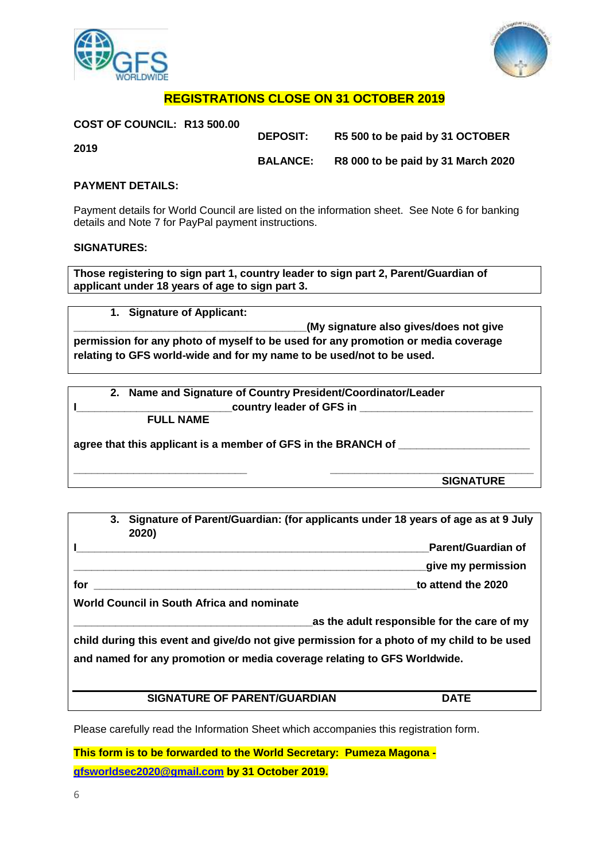



# **REGISTRATIONS CLOSE ON 31 OCTOBER 2019**

| <b>DEPOSIT:</b> | R5 500 to be paid by 31 OCTOBER    |
|-----------------|------------------------------------|
|                 |                                    |
| <b>BALANCE:</b> | R8 000 to be paid by 31 March 2020 |
|                 |                                    |

## **PAYMENT DETAILS:**

Payment details for World Council are listed on the information sheet. See Note 6 for banking details and Note 7 for PayPal payment instructions.

#### **SIGNATURES:**

**Those registering to sign part 1, country leader to sign part 2, Parent/Guardian of applicant under 18 years of age to sign part 3.** 

**1. Signature of Applicant: \_\_\_\_\_\_\_\_\_\_\_\_\_\_\_\_\_\_\_\_\_\_\_\_\_\_\_\_\_\_\_\_\_\_\_\_\_\_\_(My signature also gives/does not give permission for any photo of myself to be used for any promotion or media coverage relating to GFS world-wide and for my name to be used/not to be used.** 

**2. Name and Signature of Country President/Coordinator/Leader I\_\_\_\_\_\_\_\_\_\_\_\_\_\_\_\_\_\_\_\_\_\_\_\_\_\_country leader of GFS in \_\_\_\_\_\_\_\_\_\_\_\_\_\_\_\_\_\_\_\_\_\_\_\_\_\_\_\_\_**

**FULL NAME** 

**agree that this applicant is a member of GFS in the BRANCH of \_\_\_\_\_\_\_\_\_\_\_\_\_\_\_\_\_\_\_\_\_\_**

**\_\_\_\_\_\_\_\_\_\_\_\_\_\_\_\_\_\_\_\_\_\_\_\_\_\_\_\_\_ \_\_\_\_\_\_\_\_\_\_\_\_\_\_\_\_\_\_\_\_\_\_\_\_\_\_\_\_\_\_\_\_\_\_ SIGNATURE** 

|     | 3. | Signature of Parent/Guardian: (for applicants under 18 years of age as at 9 July<br>2020)  |                                             |
|-----|----|--------------------------------------------------------------------------------------------|---------------------------------------------|
|     |    |                                                                                            | Parent/Guardian of                          |
|     |    |                                                                                            | give my permission                          |
| for |    |                                                                                            | to attend the 2020                          |
|     |    | World Council in South Africa and nominate                                                 |                                             |
|     |    |                                                                                            | as the adult responsible for the care of my |
|     |    | child during this event and give/do not give permission for a photo of my child to be used |                                             |
|     |    | and named for any promotion or media coverage relating to GFS Worldwide.                   |                                             |
|     |    |                                                                                            |                                             |
|     |    | <b>SIGNATURE OF PARENT/GUARDIAN</b>                                                        | <b>DATE</b>                                 |

Please carefully read the Information Sheet which accompanies this registration form.

**This form is to be forwarded to the World Secretary: Pumeza Magona [gfsworldsec2020@gmail.com](mailto:gfsworldsec2020@gmail.com) by 31 October 2019.**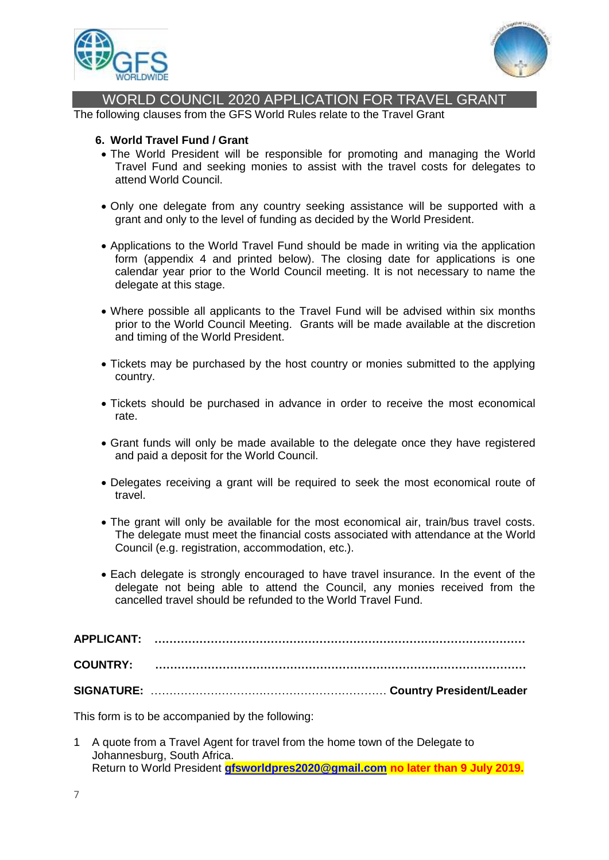



# WORLD COUNCIL 2020 APPLICATION FOR TRAVEL GRANT

The following clauses from the GFS World Rules relate to the Travel Grant

#### **6. World Travel Fund / Grant**

- The World President will be responsible for promoting and managing the World Travel Fund and seeking monies to assist with the travel costs for delegates to attend World Council.
- Only one delegate from any country seeking assistance will be supported with a grant and only to the level of funding as decided by the World President.
- Applications to the World Travel Fund should be made in writing via the application form (appendix 4 and printed below). The closing date for applications is one calendar year prior to the World Council meeting. It is not necessary to name the delegate at this stage.
- Where possible all applicants to the Travel Fund will be advised within six months prior to the World Council Meeting. Grants will be made available at the discretion and timing of the World President.
- Tickets may be purchased by the host country or monies submitted to the applying country.
- Tickets should be purchased in advance in order to receive the most economical rate.
- Grant funds will only be made available to the delegate once they have registered and paid a deposit for the World Council.
- Delegates receiving a grant will be required to seek the most economical route of travel.
- The grant will only be available for the most economical air, train/bus travel costs. The delegate must meet the financial costs associated with attendance at the World Council (e.g. registration, accommodation, etc.).
- Each delegate is strongly encouraged to have travel insurance. In the event of the delegate not being able to attend the Council, any monies received from the cancelled travel should be refunded to the World Travel Fund.

**APPLICANT: ……………………………………………………………………………………… COUNTRY: ……………………………………………………………………………………… SIGNATURE:** ……………………………………………………… **Country President/Leader**

This form is to be accompanied by the following:

1 A quote from a Travel Agent for travel from the home town of the Delegate to Johannesburg, South Africa. Return to World President **[gfsworldpres2020@gmail.com](mailto:gfsworldpres2020@gmail.com) no later than 9 July 2019.**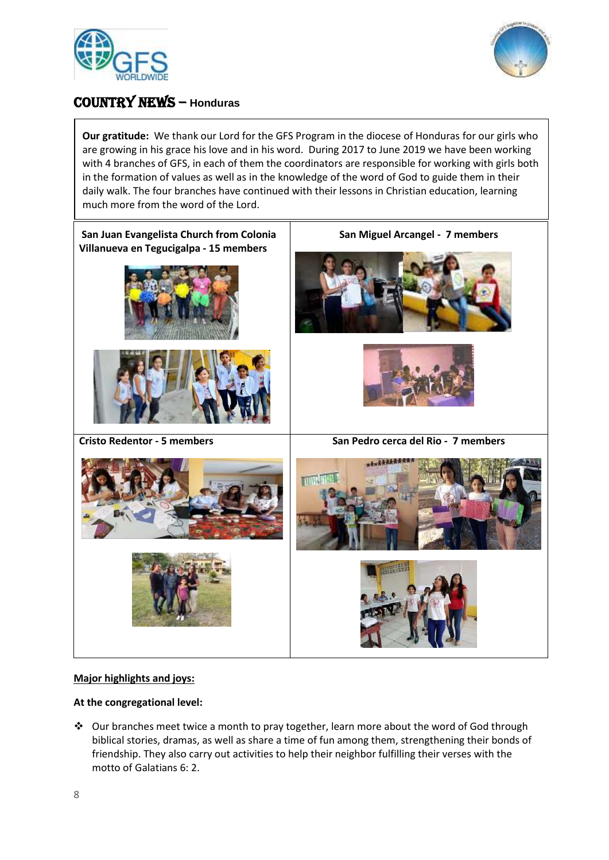



# COUNTRY NEWS – **Honduras**

**Our gratitude:** We thank our Lord for the GFS Program in the diocese of Honduras for our girls who are growing in his grace his love and in his word. During 2017 to June 2019 we have been working with 4 branches of GFS, in each of them the coordinators are responsible for working with girls both in the formation of values as well as in the knowledge of the word of God to guide them in their daily walk. The four branches have continued with their lessons in Christian education, learning much more from the word of the Lord.



#### **Major highlights and joys:**

#### **At the congregational level:**

❖ Our branches meet twice a month to pray together, learn more about the word of God through biblical stories, dramas, as well as share a time of fun among them, strengthening their bonds of friendship. They also carry out activities to help their neighbor fulfilling their verses with the motto of Galatians 6: 2.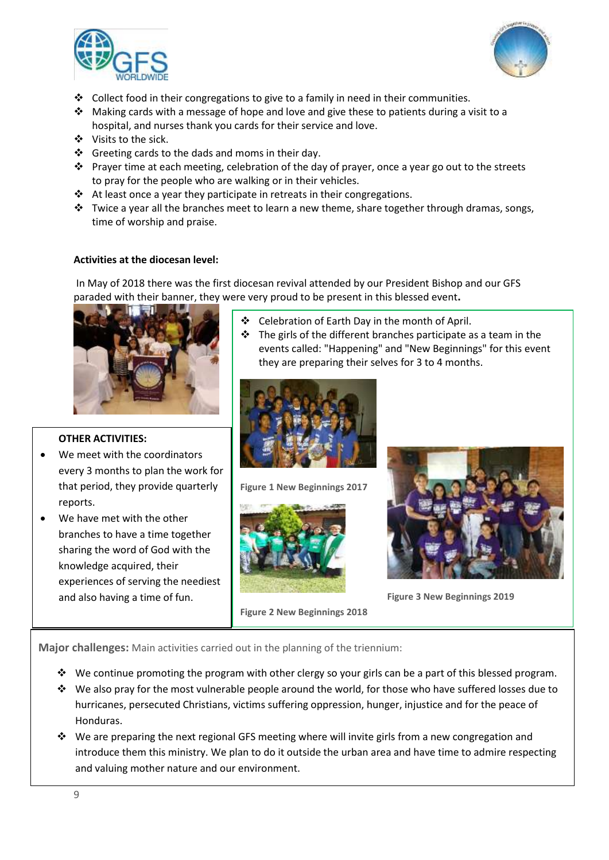



- $\div$  Collect food in their congregations to give to a family in need in their communities.
- ◆ Making cards with a message of hope and love and give these to patients during a visit to a hospital, and nurses thank you cards for their service and love.
- ❖ Visits to the sick.
- ❖ Greeting cards to the dads and moms in their day.
- $\dots$  Prayer time at each meeting, celebration of the day of prayer, once a year go out to the streets to pray for the people who are walking or in their vehicles.
- ❖ At least once a year they participate in retreats in their congregations.
- $\dots$  Twice a year all the branches meet to learn a new theme, share together through dramas, songs, time of worship and praise.

#### **Activities at the diocesan level:**

In May of 2018 there was the first diocesan revival attended by our President Bishop and our GFS paraded with their banner, they were very proud to be present in this blessed event**.**



#### **OTHER ACTIVITIES:**

- We meet with the coordinators every 3 months to plan the work for that period, they provide quarterly reports.
- We have met with the other branches to have a time together sharing the word of God with the knowledge acquired, their experiences of serving the neediest and also having a time of fun.
- ❖ Celebration of Earth Day in the month of April.
- $\div$  The girls of the different branches participate as a team in the events called: "Happening" and "New Beginnings" for this event they are preparing their selves for 3 to 4 months.



**Figure 1 New Beginnings 2017**







**Figure 3 New Beginnings 2019**

New beginnings 2017 **Major challenges:** Main activities carried out in the planning of the triennium:

- ◆ We continue promoting the program with other clergy so your girls can be a part of this blessed program.
- ❖ We also pray for the most vulnerable people around the world, for those who have suffered losses due to hurricanes, persecuted Christians, victims suffering oppression, hunger, injustice and for the peace of Honduras.
- ❖ We are preparing the next regional GFS meeting where will invite girls from a new congregation and introduce them this ministry. We plan to do it outside the urban area and have time to admire respecting and valuing mother nature and our environment.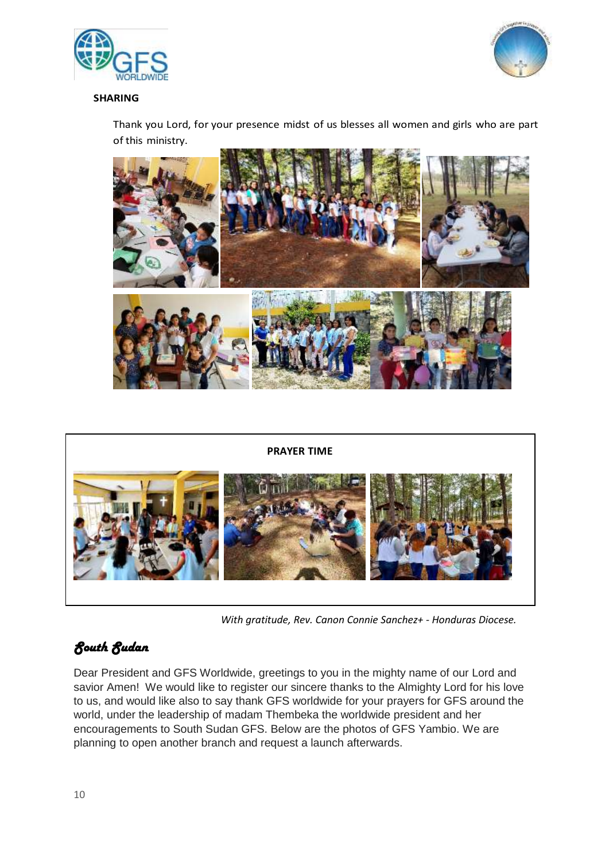



#### **SHARING**

Thank you Lord, for your presence midst of us blesses all women and girls who are part of this ministry.





*With gratitude, Rev. Canon Connie Sanchez+ - Honduras Diocese.*

# *South Sudan*

Dear President and GFS Worldwide, greetings to you in the mighty name of our Lord and savior Amen! We would like to register our sincere thanks to the Almighty Lord for his love to us, and would like also to say thank GFS worldwide for your prayers for GFS around the world, under the leadership of madam Thembeka the worldwide president and her encouragements to South Sudan GFS. Below are the photos of GFS Yambio. We are planning to open another branch and request a launch afterwards.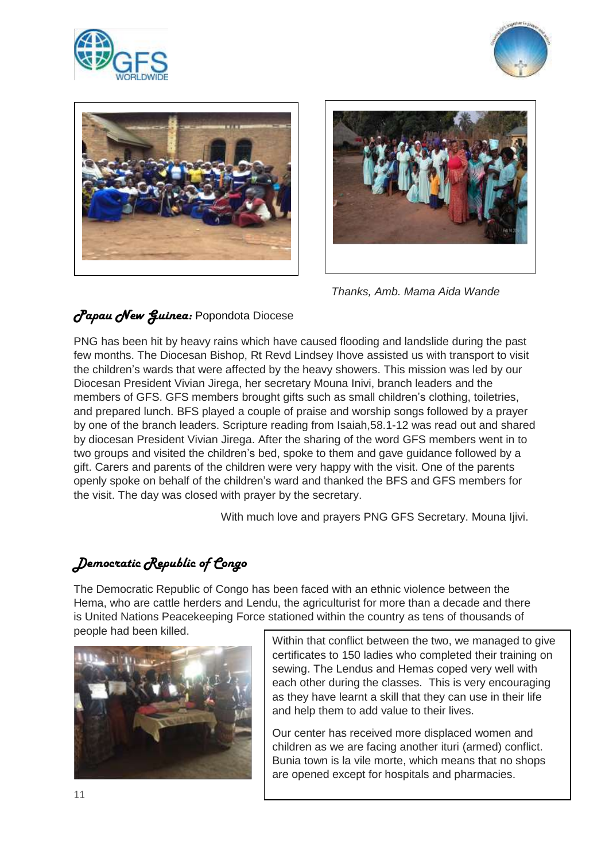







*Thanks, Amb. Mama Aida Wande* 

# *Papau New Guinea:* Popondota Diocese

PNG has been hit by heavy rains which have caused flooding and landslide during the past few months. The Diocesan Bishop, Rt Revd Lindsey Ihove assisted us with transport to visit the children's wards that were affected by the heavy showers. This mission was led by our Diocesan President Vivian Jirega, her secretary Mouna Inivi, branch leaders and the members of GFS. GFS members brought gifts such as small children's clothing, toiletries, and prepared lunch. BFS played a couple of praise and worship songs followed by a prayer by one of the branch leaders. Scripture reading from Isaiah,58.1-12 was read out and shared by diocesan President Vivian Jirega. After the sharing of the word GFS members went in to two groups and visited the children's bed, spoke to them and gave guidance followed by a gift. Carers and parents of the children were very happy with the visit. One of the parents openly spoke on behalf of the children's ward and thanked the BFS and GFS members for the visit. The day was closed with prayer by the secretary.

With much love and prayers PNG GFS Secretary. Mouna Ijivi.

# *Democratic Republic of Congo*

The Democratic Republic of Congo has been faced with an ethnic violence between the Hema, who are cattle herders and Lendu, the agriculturist for more than a decade and there is United Nations Peacekeeping Force stationed within the country as tens of thousands of people had been killed.



Within that conflict between the two, we managed to give certificates to 150 ladies who completed their training on sewing. The Lendus and Hemas coped very well with each other during the classes. This is very encouraging as they have learnt a skill that they can use in their life and help them to add value to their lives.

Our center has received more displaced women and children as we are facing another ituri (armed) conflict. Bunia town is la vile morte, which means that no shops are opened except for hospitals and pharmacies.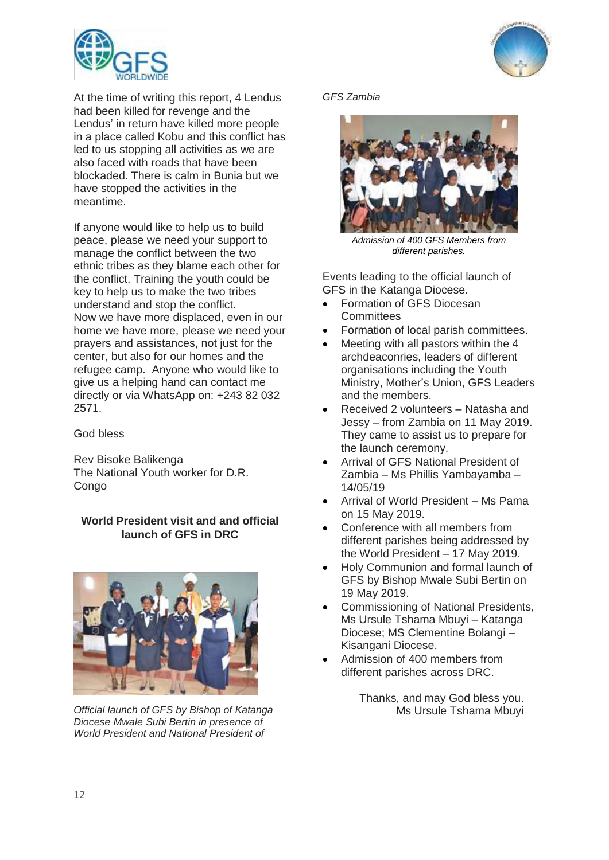

At the time of writing this report, 4 Lendus had been killed for revenge and the Lendus' in return have killed more people in a place called Kobu and this conflict has led to us stopping all activities as we are also faced with roads that have been blockaded. There is calm in Bunia but we have stopped the activities in the meantime.

If anyone would like to help us to build peace, please we need your support to manage the conflict between the two ethnic tribes as they blame each other for the conflict. Training the youth could be key to help us to make the two tribes understand and stop the conflict. Now we have more displaced, even in our home we have more, please we need your prayers and assistances, not just for the center, but also for our homes and the refugee camp. Anyone who would like to give us a helping hand can contact me directly or via WhatsApp on: +243 82 032 2571.

God bless

Rev Bisoke Balikenga The National Youth worker for D.R. **Congo** 

# **World President visit and and official launch of GFS in DRC**



*Official launch of GFS by Bishop of Katanga Diocese Mwale Subi Bertin in presence of World President and National President of* 





*Admission of 400 GFS Members from different parishes.* 

Events leading to the official launch of GFS in the Katanga Diocese.

- Formation of GFS Diocesan **Committees**
- Formation of local parish committees.
- Meeting with all pastors within the 4 archdeaconries, leaders of different organisations including the Youth Ministry, Mother's Union, GFS Leaders and the members.
- Received 2 volunteers Natasha and Jessy – from Zambia on 11 May 2019. They came to assist us to prepare for the launch ceremony.
- Arrival of GFS National President of Zambia – Ms Phillis Yambayamba – 14/05/19
- Arrival of World President Ms Pama on 15 May 2019.
- Conference with all members from different parishes being addressed by the World President – 17 May 2019.
- Holy Communion and formal launch of GFS by Bishop Mwale Subi Bertin on 19 May 2019.
- Commissioning of National Presidents, Ms Ursule Tshama Mbuyi – Katanga Diocese; MS Clementine Bolangi – Kisangani Diocese.
- Admission of 400 members from different parishes across DRC.

Thanks, and may God bless you. Ms Ursule Tshama Mbuyi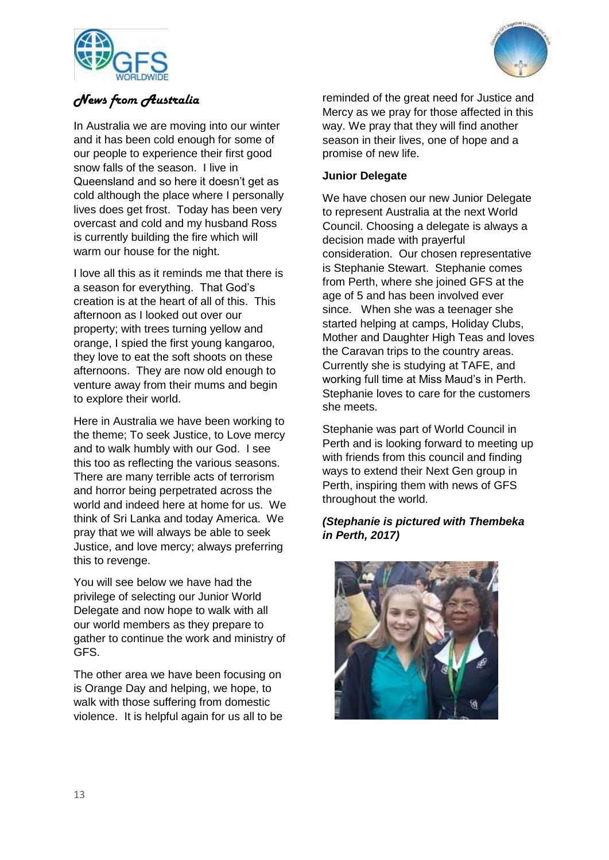



# *News from Australia*

In Australia we are moving into our winter and it has been cold enough for some of our people to experience their first good snow falls of the season. I live in Queensland and so here it doesn't get as cold although the place where I personally lives does get frost. Today has been very overcast and cold and my husband Ross is currently building the fire which will warm our house for the night.

I love all this as it reminds me that there is a season for everything. That God's creation is at the heart of all of this. This afternoon as I looked out over our property; with trees turning yellow and orange, I spied the first young kangaroo, they love to eat the soft shoots on these afternoons. They are now old enough to venture away from their mums and begin to explore their world.

Here in Australia we have been working to the theme; To seek Justice, to Love mercy and to walk humbly with our God. I see this too as reflecting the various seasons. There are many terrible acts of terrorism and horror being perpetrated across the world and indeed here at home for us. We think of Sri Lanka and today America. We pray that we will always be able to seek Justice, and love mercy; always preferring this to revenge.

You will see below we have had the privilege of selecting our Junior World Delegate and now hope to walk with all our world members as they prepare to gather to continue the work and ministry of GFS.

The other area we have been focusing on is Orange Day and helping, we hope, to walk with those suffering from domestic violence. It is helpful again for us all to be reminded of the great need for Justice and Mercy as we pray for those affected in this way. We pray that they will find another season in their lives, one of hope and a promise of new life.

# **Junior Delegate**

We have chosen our new Junior Delegate to represent Australia at the next World Council. Choosing a delegate is always a decision made with prayerful consideration. Our chosen representative is Stephanie Stewart. Stephanie comes from Perth, where she joined GFS at the age of 5 and has been involved ever since. When she was a teenager she started helping at camps, Holiday Clubs, Mother and Daughter High Teas and loves the Caravan trips to the country areas. Currently she is studying at TAFE, and working full time at Miss Maud's in Perth. Stephanie loves to care for the customers she meets.

Stephanie was part of World Council in Perth and is looking forward to meeting up with friends from this council and finding ways to extend their Next Gen group in Perth, inspiring them with news of GFS throughout the world.

# *(Stephanie is pictured with Thembeka in Perth, 2017)*

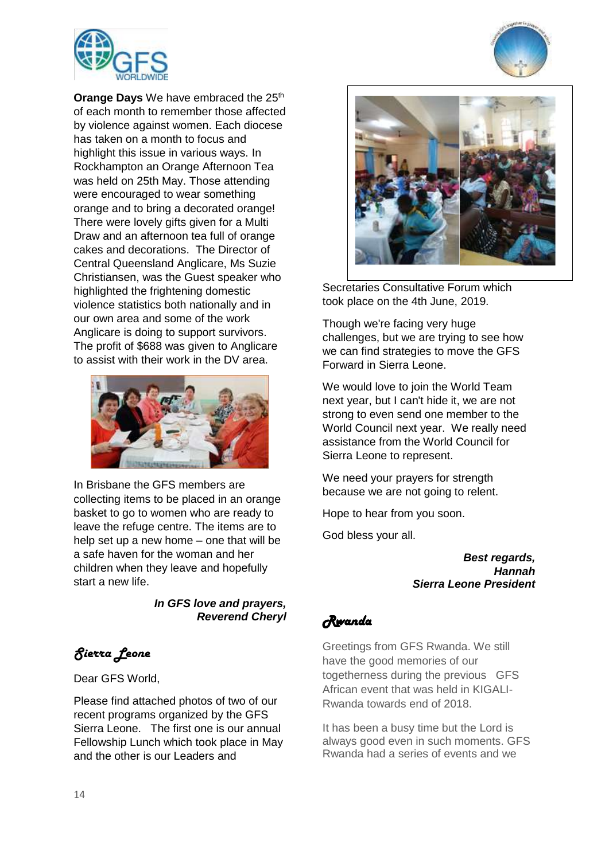

**Orange Days** We have embraced the 25<sup>th</sup> of each month to remember those affected by violence against women. Each diocese has taken on a month to focus and highlight this issue in various ways. In Rockhampton an Orange Afternoon Tea was held on 25th May. Those attending were encouraged to wear something orange and to bring a decorated orange! There were lovely gifts given for a Multi Draw and an afternoon tea full of orange cakes and decorations. The Director of Central Queensland Anglicare, Ms Suzie Christiansen, was the Guest speaker who highlighted the frightening domestic violence statistics both nationally and in our own area and some of the work Anglicare is doing to support survivors. The profit of \$688 was given to Anglicare to assist with their work in the DV area.



In Brisbane the GFS members are collecting items to be placed in an orange basket to go to women who are ready to leave the refuge centre. The items are to help set up a new home – one that will be a safe haven for the woman and her children when they leave and hopefully start a new life.

> *In GFS love and prayers, Reverend Cheryl*

# *Sierra Leone*

Dear GFS World,

Please find attached photos of two of our recent programs organized by the GFS Sierra Leone. The first one is our annual Fellowship Lunch which took place in May and the other is our Leaders and





Secretaries Consultative Forum which took place on the 4th June, 2019.

Though we're facing very huge challenges, but we are trying to see how we can find strategies to move the GFS Forward in Sierra Leone.

We would love to join the World Team next year, but I can't hide it, we are not strong to even send one member to the World Council next year. We really need assistance from the World Council for Sierra Leone to represent.

We need your prayers for strength because we are not going to relent.

Hope to hear from you soon.

God bless your all.

*Best regards, Hannah Sierra Leone President*

*Rwanda* 

Greetings from GFS Rwanda. We still have the good memories of our togetherness during the previous GFS African event that was held in KIGALI-Rwanda towards end of 2018.

It has been a busy time but the Lord is always good even in such moments. GFS Rwanda had a series of events and we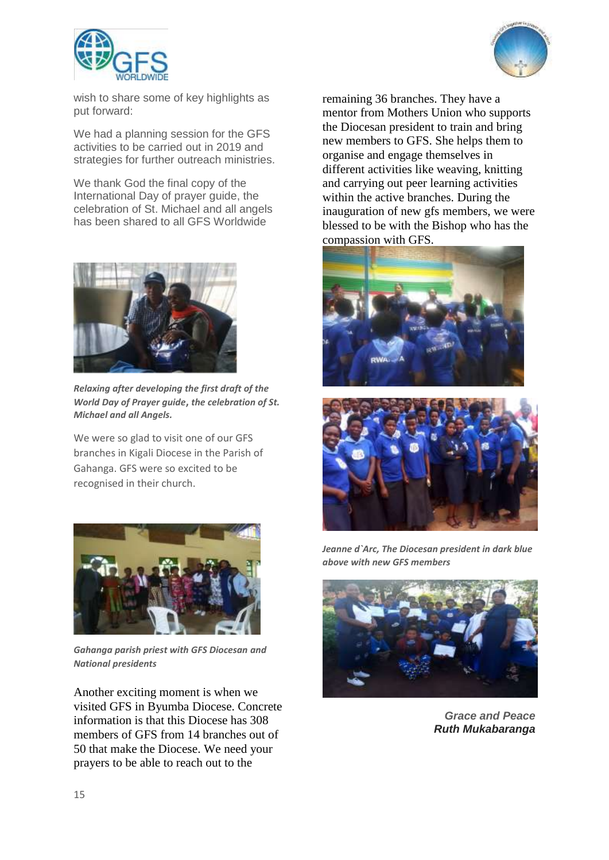



wish to share some of key highlights as put forward:

We had a planning session for the GFS activities to be carried out in 2019 and strategies for further outreach ministries.

We thank God the final copy of the International Day of prayer guide, the celebration of St. Michael and all angels has been shared to all GFS Worldwide



*Relaxing after developing the first draft of the World Day of Prayer guide***,** *the celebration of St. Michael and all Angels.*

We were so glad to visit one of our GFS branches in Kigali Diocese in the Parish of Gahanga. GFS were so excited to be recognised in their church.



*Gahanga parish priest with GFS Diocesan and National presidents*

Another exciting moment is when we visited GFS in Byumba Diocese. Concrete information is that this Diocese has 308 members of GFS from 14 branches out of 50 that make the Diocese. We need your prayers to be able to reach out to the

remaining 36 branches. They have a mentor from Mothers Union who supports the Diocesan president to train and bring new members to GFS. She helps them to organise and engage themselves in different activities like weaving, knitting and carrying out peer learning activities within the active branches. During the inauguration of new gfs members, we were blessed to be with the Bishop who has the compassion with GFS.





*Jeanne d`Arc, The Diocesan president in dark blue above with new GFS members*



*Grace and Peace Ruth Mukabaranga*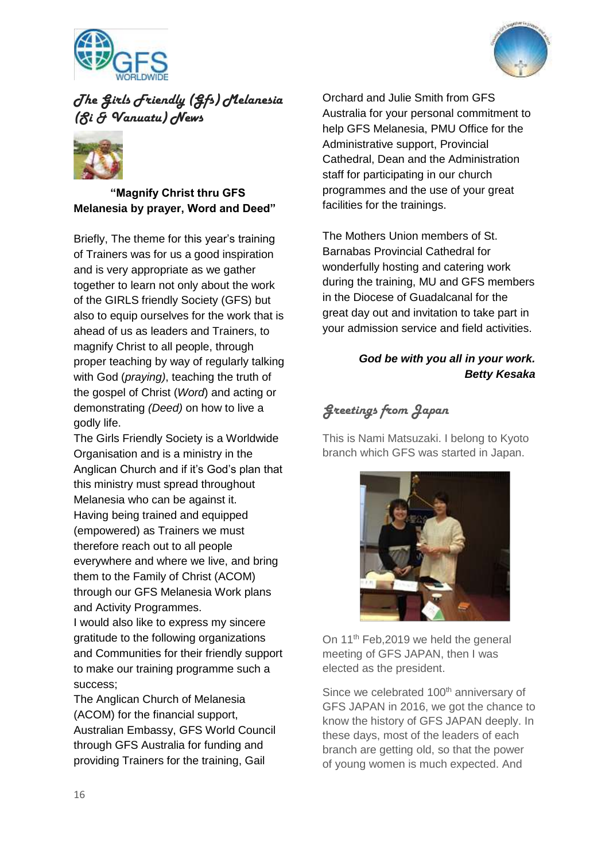



# *The Girls Friendly (Gfs) Melanesia (Si & Vanuatu) News*



**"Magnify Christ thru GFS Melanesia by prayer, Word and Deed"**

Briefly, The theme for this year's training of Trainers was for us a good inspiration and is very appropriate as we gather together to learn not only about the work of the GIRLS friendly Society (GFS) but also to equip ourselves for the work that is ahead of us as leaders and Trainers, to magnify Christ to all people, through proper teaching by way of regularly talking with God (*praying)*, teaching the truth of the gospel of Christ (*Word*) and acting or demonstrating *(Deed)* on how to live a godly life.

The Girls Friendly Society is a Worldwide Organisation and is a ministry in the Anglican Church and if it's God's plan that this ministry must spread throughout Melanesia who can be against it. Having being trained and equipped (empowered) as Trainers we must therefore reach out to all people everywhere and where we live, and bring them to the Family of Christ (ACOM) through our GFS Melanesia Work plans and Activity Programmes.

I would also like to express my sincere gratitude to the following organizations and Communities for their friendly support to make our training programme such a success;

The Anglican Church of Melanesia (ACOM) for the financial support, Australian Embassy, GFS World Council through GFS Australia for funding and providing Trainers for the training, Gail

Orchard and Julie Smith from GFS Australia for your personal commitment to help GFS Melanesia, PMU Office for the Administrative support, Provincial Cathedral, Dean and the Administration staff for participating in our church programmes and the use of your great facilities for the trainings.

The Mothers Union members of St. Barnabas Provincial Cathedral for wonderfully hosting and catering work during the training, MU and GFS members in the Diocese of Guadalcanal for the great day out and invitation to take part in your admission service and field activities.

# *God be with you all in your work. Betty Kesaka*

# *Greetings from Japan*

This is Nami Matsuzaki. I belong to Kyoto branch which GFS was started in Japan.



On 11<sup>th</sup> Feb, 2019 we held the general meeting of GFS JAPAN, then I was elected as the president.

Since we celebrated 100<sup>th</sup> anniversary of GFS JAPAN in 2016, we got the chance to know the history of GFS JAPAN deeply. In these days, most of the leaders of each branch are getting old, so that the power of young women is much expected. And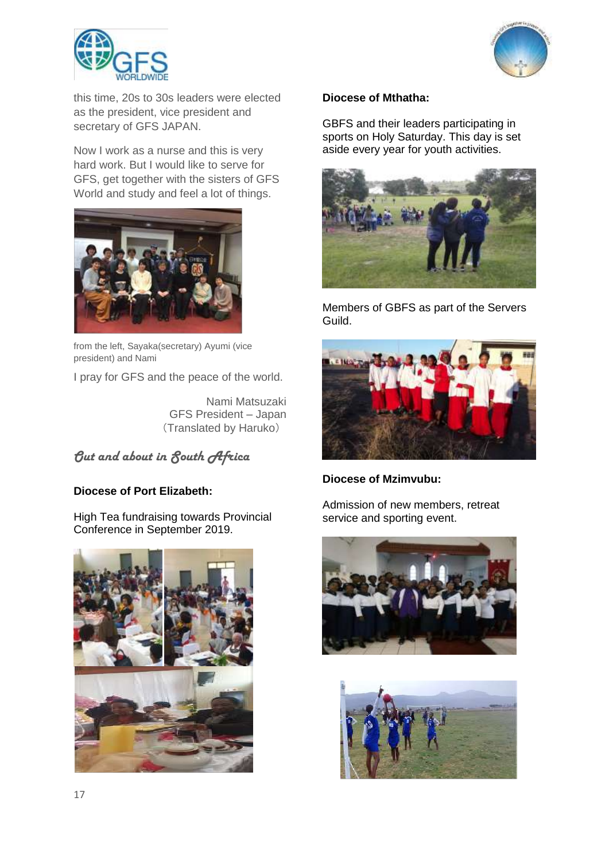



this time, 20s to 30s leaders were elected as the president, vice president and secretary of GFS JAPAN.

Now I work as a nurse and this is very hard work. But I would like to serve for GFS, get together with the sisters of GFS World and study and feel a lot of things.



from the left, Sayaka(secretary) Ayumi (vice president) and Nami

I pray for GFS and the peace of the world.

Nami Matsuzaki GFS President – Japan (Translated by Haruko)

*Out and about in South Africa*

# **Diocese of Port Elizabeth:**

High Tea fundraising towards Provincial Conference in September 2019.



## **Diocese of Mthatha:**

GBFS and their leaders participating in sports on Holy Saturday. This day is set aside every year for youth activities.



Members of GBFS as part of the Servers Guild.



# **Diocese of Mzimvubu:**

Admission of new members, retreat service and sporting event.



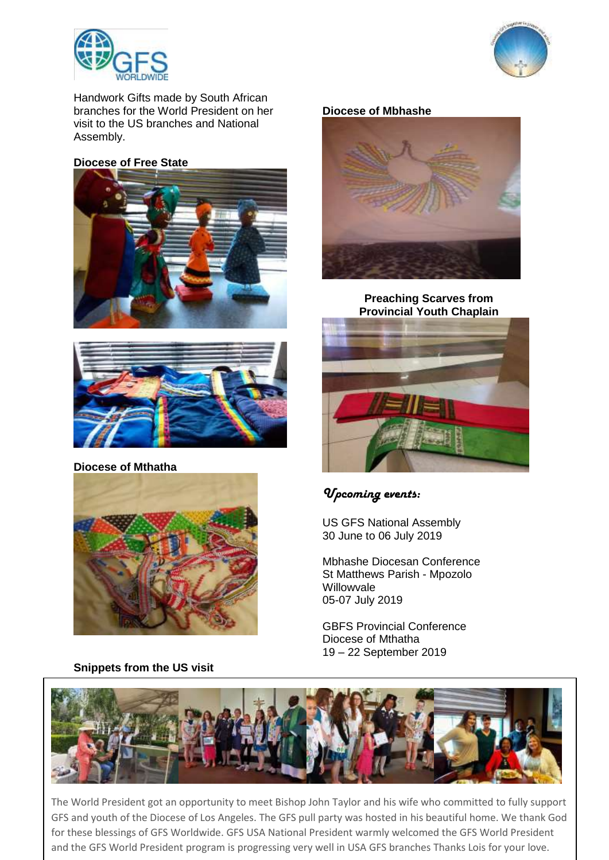



Handwork Gifts made by South African branches for the World President on her visit to the US branches and National Assembly.

## **Diocese of Free State**





## **Diocese of Mthatha**



**Snippets from the US visit** 

# **Diocese of Mbhashe**



**Preaching Scarves from Provincial Youth Chaplain**



# *Upcoming events:*

US GFS National Assembly 30 June to 06 July 2019

Mbhashe Diocesan Conference St Matthews Parish - Mpozolo Willowvale 05-07 July 2019

GBFS Provincial Conference Diocese of Mthatha 19 – 22 September 2019



The World President got an opportunity to meet Bishop John Taylor and his wife who committed to fully support GFS and youth of the Diocese of Los Angeles. The GFS pull party was hosted in his beautiful home. We thank God for these blessings of GFS Worldwide. GFS USA National President warmly welcomed the GFS World President and the GFS World President program is progressing very well in USA GFS branches Thanks Lois for your love.